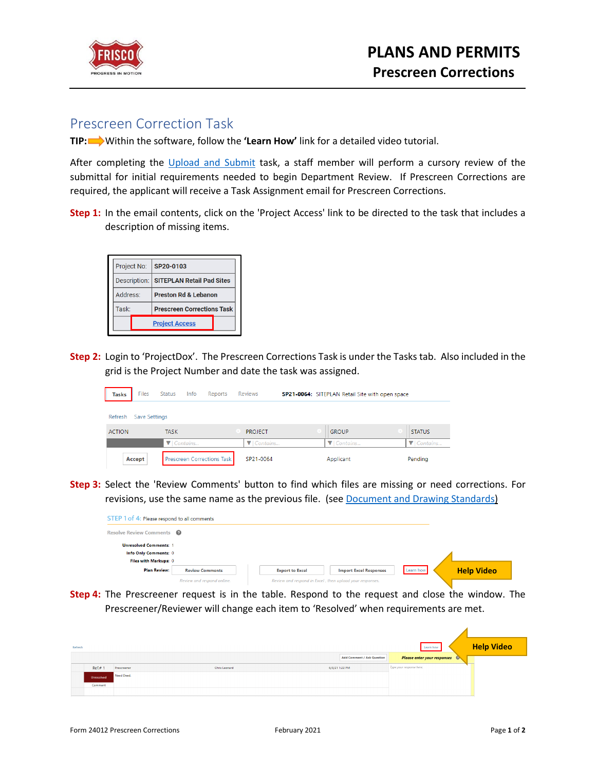

## Prescreen Correction Task

**TIP:** Within the software, follow the **'Learn How'** link for a detailed video tutorial.

After completing the [Upload and Submit](https://www.friscotexas.gov/DocumentCenter/View/24013/Upload-and-Submit-PDF) task, a staff member will perform a cursory review of the submittal for initial requirements needed to begin Department Review. If Prescreen Corrections are required, the applicant will receive a Task Assignment email for Prescreen Corrections.

**Step 1:** In the email contents, click on the 'Project Access' link to be directed to the task that includes a description of missing items.

|                   | Project No:  | SP20-0103                         |  |  |
|-------------------|--------------|-----------------------------------|--|--|
|                   | Description: | <b>SITEPLAN Retail Pad Sites</b>  |  |  |
|                   | Address:     | <b>Preston Rd &amp; Lebanon</b>   |  |  |
| Task <sup>-</sup> |              | <b>Prescreen Corrections Task</b> |  |  |
|                   |              | <b>Project Access</b>             |  |  |

**Step 2:** Login to 'ProjectDox'. The Prescreen Corrections Task is under the Tasks tab. Also included in the grid is the Project Number and date the task was assigned.

| <b>Tasks</b>  | <b>Files</b>  | Status      | Info                          | Reports                           | <b>Reviews</b>                |  | SP21-0064: SITEPLAN Retail Site with open space |                               |
|---------------|---------------|-------------|-------------------------------|-----------------------------------|-------------------------------|--|-------------------------------------------------|-------------------------------|
| Refresh       | Save Settings |             |                               |                                   |                               |  |                                                 |                               |
| <b>ACTION</b> |               | <b>TASK</b> |                               |                                   | <b>PROJECT</b>                |  | <b>GROUP</b>                                    | <b>STATUS</b>                 |
|               |               |             | $\blacktriangledown$ Contains |                                   | $\blacktriangledown$ Contains |  | $\blacktriangledown$ Contains                   | $\blacktriangledown$ Contains |
|               | Accept        |             |                               | <b>Prescreen Corrections Task</b> | SP21-0064                     |  | Applicant                                       | Pending                       |

**Step 3:** Select the 'Review Comments' button to find which files are missing or need corrections. For revisions, use the same name as the previous file. (see [Document and Drawing Standards\)](https://www.friscotexas.gov/DocumentCenter/View/24015)

| STEP 1 of 4: Please respond to all comments |                            |                                                          |           |                   |
|---------------------------------------------|----------------------------|----------------------------------------------------------|-----------|-------------------|
| Resolve Review Comments <sup>©</sup>        |                            |                                                          |           |                   |
| <b>Unresolved Comments: 1</b>               |                            |                                                          |           |                   |
| Info Only Comments: 0                       |                            |                                                          |           |                   |
| Files with Markups: 0                       |                            |                                                          |           |                   |
| <b>Plan Review:</b>                         | <b>Review Comments</b>     | <b>Export to Excel</b><br><b>Import Excel Responses</b>  | Learn how | <b>Help Video</b> |
|                                             | Review and respond online. | Review and respond in Excel, then upload your responses. |           |                   |

**Step 4:** The Prescreener request is in the table. Respond to the request and close the window. The Prescreener/Reviewer will change each item to 'Resolved' when requirements are met.

| Refresh |            |             |               |                            | Learn how                          | <b>Help Video</b> |
|---------|------------|-------------|---------------|----------------------------|------------------------------------|-------------------|
|         |            |             |               | Add Comment / Ask Question | <b>Please enter your responses</b> |                   |
|         | Ref#1      | Prescreener | Chris Leonard | 6/3/21 1:22 PM             | Type your response here.           |                   |
|         | Unresolved | Need Deed.  |               |                            |                                    |                   |
|         | Comment    |             |               |                            |                                    |                   |
|         |            |             |               |                            |                                    |                   |